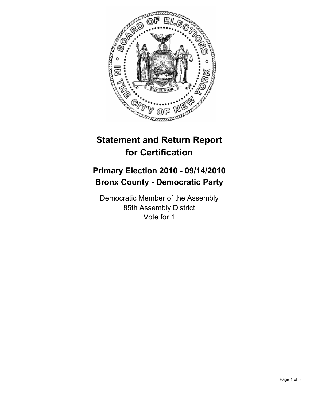

## **Statement and Return Report for Certification**

## **Primary Election 2010 - 09/14/2010 Bronx County - Democratic Party**

Democratic Member of the Assembly 85th Assembly District Vote for 1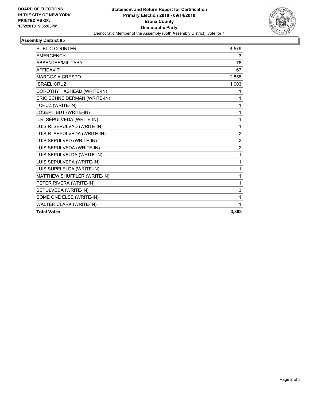

## **Assembly District 85**

| <b>PUBLIC COUNTER</b>        | 4,579          |
|------------------------------|----------------|
| <b>EMERGENCY</b>             | 3              |
| ABSENTEE/MILITARY            | 76             |
| <b>AFFIDAVIT</b>             | 67             |
| <b>MARCOS A CRESPO</b>       | 2,858          |
| <b>ISRAEL CRUZ</b>           | 1,003          |
| DOROTHY HASHEAD (WRITE-IN)   | 1              |
| ERIC SCHNEIDERMAN (WRITE-IN) | 1              |
| I CRUZ (WRITE-IN)            | 1              |
| JOSEPH BUT (WRITE-IN)        | 1              |
| L.R. SEPULVEDA (WRITE-IN)    | 1              |
| LUIS R. SEPULVAD (WRITE-IN)  | 1              |
| LUIS R. SEPULVEDA (WRITE-IN) | $\overline{2}$ |
| LUIS SEPULVED (WRITE-IN)     | $\overline{2}$ |
| LUIS SEPULVEDA (WRITE-IN)    | $\overline{c}$ |
| LUIS SEPULVELDA (WRITE-IN)   | 1              |
| LUIS SEPULVEPA (WRITE-IN)    | 1              |
| LUIS SUPELELDA (WRITE-IN)    | 1              |
| MATTHEW SHUFFLER (WRITE-IN)  | 1              |
| PETER RIVERA (WRITE-IN)      | 1              |
| SEPULVEDA (WRITE-IN)         | 3              |
| SOME ONE ELSE (WRITE-IN)     | 1              |
| WALTER CLARK (WRITE-IN)      | 1              |
| <b>Total Votes</b>           | 3,883          |